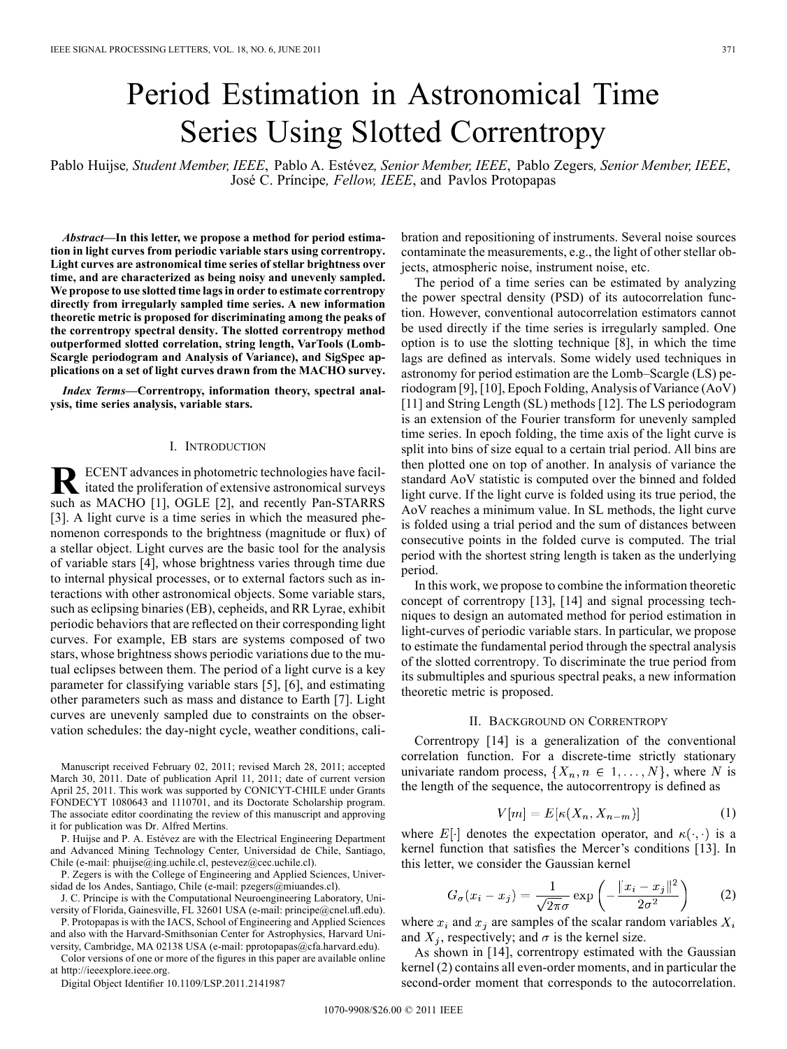# Period Estimation in Astronomical Time Series Using Slotted Correntropy

Pablo Huijse*, Student Member, IEEE*, Pablo A. Estévez*, Senior Member, IEEE*, Pablo Zegers*, Senior Member, IEEE*, José C. Príncipe*, Fellow, IEEE*, and Pavlos Protopapas

*Abstract—***In this letter, we propose a method for period estimation in light curves from periodic variable stars using correntropy. Light curves are astronomical time series of stellar brightness over time, and are characterized as being noisy and unevenly sampled. We propose to use slotted time lags in order to estimate correntropy directly from irregularly sampled time series. A new information theoretic metric is proposed for discriminating among the peaks of the correntropy spectral density. The slotted correntropy method outperformed slotted correlation, string length, VarTools (Lomb-Scargle periodogram and Analysis of Variance), and SigSpec applications on a set of light curves drawn from the MACHO survey.**

*Index Terms—***Correntropy, information theory, spectral analysis, time series analysis, variable stars.**

#### I. INTRODUCTION

**R** ECENT advances in photometric technologies have facil-<br>itated the proliferation of extensive astronomical surveys such as MACHO [1], OGLE [2], and recently Pan-STARRS [3]. A light curve is a time series in which the measured phenomenon corresponds to the brightness (magnitude or flux) of a stellar object. Light curves are the basic tool for the analysis of variable stars [4], whose brightness varies through time due to internal physical processes, or to external factors such as interactions with other astronomical objects. Some variable stars, such as eclipsing binaries (EB), cepheids, and RR Lyrae, exhibit periodic behaviors that are reflected on their corresponding light curves. For example, EB stars are systems composed of two stars, whose brightness shows periodic variations due to the mutual eclipses between them. The period of a light curve is a key parameter for classifying variable stars [5], [6], and estimating other parameters such as mass and distance to Earth [7]. Light curves are unevenly sampled due to constraints on the observation schedules: the day-night cycle, weather conditions, cali-

Manuscript received February 02, 2011; revised March 28, 2011; accepted March 30, 2011. Date of publication April 11, 2011; date of current version April 25, 2011. This work was supported by CONICYT-CHILE under Grants FONDECYT 1080643 and 1110701, and its Doctorate Scholarship program. The associate editor coordinating the review of this manuscript and approving it for publication was Dr. Alfred Mertins.

P. Huijse and P. A. Estévez are with the Electrical Engineering Department and Advanced Mining Technology Center, Universidad de Chile, Santiago, Chile (e-mail: phuijse@ing.uchile.cl, pestevez@cec.uchile.cl).

P. Zegers is with the College of Engineering and Applied Sciences, Universidad de los Andes, Santiago, Chile (e-mail: pzegers@miuandes.cl).

J. C. Príncipe is with the Computational Neuroengineering Laboratory, University of Florida, Gainesville, FL 32601 USA (e-mail: principe@cnel.ufl.edu).

P. Protopapas is with the IACS, School of Engineering and Applied Sciences and also with the Harvard-Smithsonian Center for Astrophysics, Harvard University, Cambridge, MA 02138 USA (e-mail: pprotopapas@cfa.harvard.edu).

Color versions of one or more of the figures in this paper are available online at http://ieeexplore.ieee.org.

Digital Object Identifier 10.1109/LSP.2011.2141987

bration and repositioning of instruments. Several noise sources contaminate the measurements, e.g., the light of other stellar objects, atmospheric noise, instrument noise, etc.

The period of a time series can be estimated by analyzing the power spectral density (PSD) of its autocorrelation function. However, conventional autocorrelation estimators cannot be used directly if the time series is irregularly sampled. One option is to use the slotting technique [8], in which the time lags are defined as intervals. Some widely used techniques in astronomy for period estimation are the Lomb–Scargle (LS) periodogram [9], [10], Epoch Folding, Analysis of Variance (AoV) [11] and String Length (SL) methods [12]. The LS periodogram is an extension of the Fourier transform for unevenly sampled time series. In epoch folding, the time axis of the light curve is split into bins of size equal to a certain trial period. All bins are then plotted one on top of another. In analysis of variance the standard AoV statistic is computed over the binned and folded light curve. If the light curve is folded using its true period, the AoV reaches a minimum value. In SL methods, the light curve is folded using a trial period and the sum of distances between consecutive points in the folded curve is computed. The trial period with the shortest string length is taken as the underlying period.

In this work, we propose to combine the information theoretic concept of correntropy [13], [14] and signal processing techniques to design an automated method for period estimation in light-curves of periodic variable stars. In particular, we propose to estimate the fundamental period through the spectral analysis of the slotted correntropy. To discriminate the true period from its submultiples and spurious spectral peaks, a new information theoretic metric is proposed.

# II. BACKGROUND ON CORRENTROPY

Correntropy [14] is a generalization of the conventional correlation function. For a discrete-time strictly stationary univariate random process,  $\{X_n, n \in 1, \ldots, N\}$ , where N is the length of the sequence, the autocorrentropy is defined as

$$
V[m] = E[\kappa(X_n, X_{n-m})]
$$
 (1)

where E[ $\cdot$ ] denotes the expectation operator, and  $\kappa(\cdot, \cdot)$  is a kernel function that satisfies the Mercer's conditions [13]. In this letter, we consider the Gaussian kernel

$$
G_{\sigma}(x_i - x_j) = \frac{1}{\sqrt{2\pi}\sigma} \exp\left(-\frac{\|x_i - x_j\|^2}{2\sigma^2}\right) \tag{2}
$$

where  $x_i$  and  $x_j$  are samples of the scalar random variables  $X_i$ and  $X_j$ , respectively; and  $\sigma$  is the kernel size.

As shown in [14], correntropy estimated with the Gaussian kernel (2) contains all even-order moments, and in particular the second-order moment that corresponds to the autocorrelation.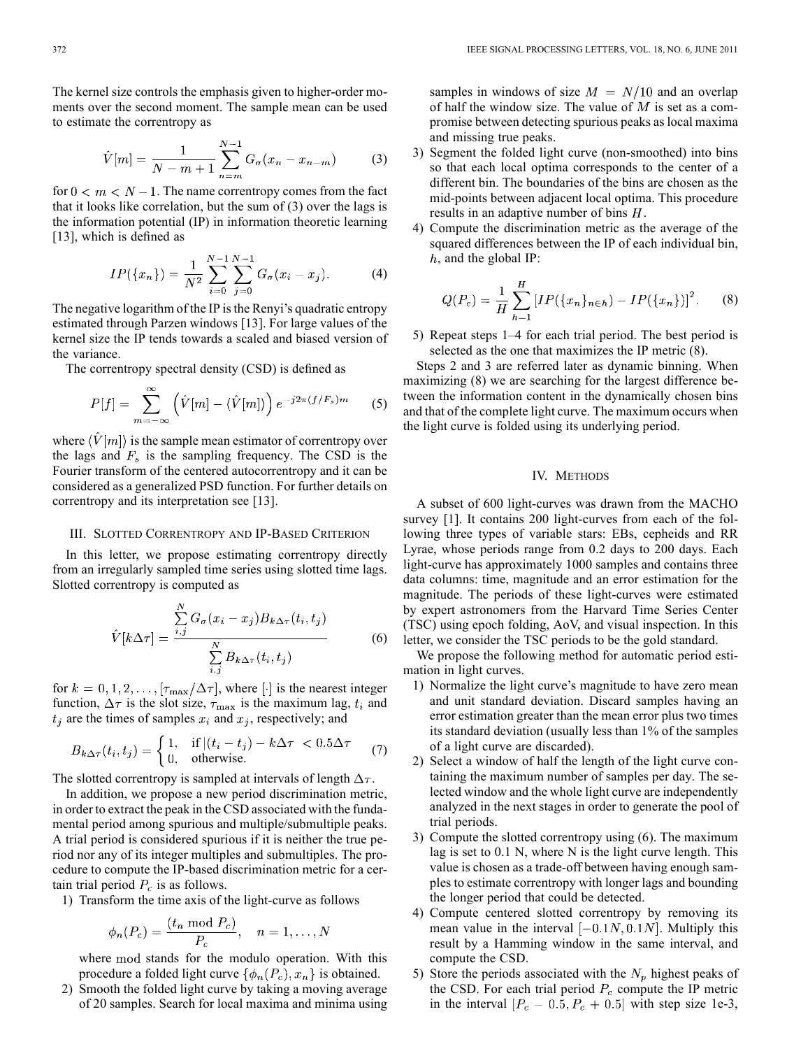The kernel size controls the emphasis given to higher-order moments over the second moment. The sample mean can be used to estimate the correntropy as

$$
\hat{V}[m] = \frac{1}{N - m + 1} \sum_{n = m}^{N - 1} G_{\sigma}(x_n - x_{n - m})
$$
 (3)

for  $0 < m < N - 1$ . The name correntropy comes from the fact that it looks like correlation, but the sum of (3) over the lags is the information potential (IP) in information theoretic learning [13], which is defined as

$$
IP(\lbrace x_n \rbrace) = \frac{1}{N^2} \sum_{i=0}^{N-1} \sum_{j=0}^{N-1} G_{\sigma}(x_i - x_j).
$$
 (4)

The negative logarithm of the IP is the Renyi's quadratic entropy estimated through Parzen windows [13]. For large values of the kernel size the IP tends towards a scaled and biased version of the variance.

The correntropy spectral density (CSD) is defined as

 $\sim$ 

$$
P[f] = \sum_{m=-\infty}^{\infty} \left( \hat{V}[m] - \langle \hat{V}[m] \rangle \right) e^{-j2\pi (f/F_s)m} \tag{5}
$$

where  $\langle \hat{V}[m] \rangle$  is the sample mean estimator of correntropy over the lags and  $F_s$  is the sampling frequency. The CSD is the Fourier transform of the centered autocorrentropy and it can be considered as a generalized PSD function. For further details on correntropy and its interpretation see [13].

#### III. SLOTTED CORRENTROPY AND IP-BASED CRITERION

In this letter, we propose estimating correntropy directly from an irregularly sampled time series using slotted time lags. Slotted correntropy is computed as

$$
\hat{V}[k\Delta\tau] = \frac{\sum_{i,j}^{N} G_{\sigma}(x_i - x_j) B_{k\Delta\tau}(t_i, t_j)}{\sum_{i,j}^{N} B_{k\Delta\tau}(t_i, t_j)}
$$
(6)

for  $k = 0, 1, 2, \ldots, \lceil \tau_{\text{max}}/\Delta \tau \rceil$ , where  $\lceil \cdot \rceil$  is the nearest integer function,  $\Delta \tau$  is the slot size,  $\tau_{\text{max}}$  is the maximum lag,  $t_i$  and  $t_i$  are the times of samples  $x_i$  and  $x_i$ , respectively; and

$$
B_{k\Delta\tau}(t_i, t_j) = \begin{cases} 1, & \text{if } |(t_i - t_j) - k\Delta\tau| < 0.5\Delta\tau \\ 0, & \text{otherwise.} \end{cases}
$$
 (7)

The slotted correntropy is sampled at intervals of length  $\Delta \tau$ .

In addition, we propose a new period discrimination metric, in order to extract the peak in the CSD associated with the fundamental period among spurious and multiple/submultiple peaks. A trial period is considered spurious if it is neither the true period nor any of its integer multiples and submultiples. The procedure to compute the IP-based discrimination metric for a certain trial period  $P_c$  is as follows.

1) Transform the time axis of the light-curve as follows

$$
\phi_n(P_c) = \frac{(t_n \bmod P_c)}{P_c}, \quad n = 1, \dots, N
$$

where mod stands for the modulo operation. With this procedure a folded light curve  $\{\phi_n(P_c), x_n\}$  is obtained.

2) Smooth the folded light curve by taking a moving average of 20 samples. Search for local maxima and minima using samples in windows of size  $M = N/10$  and an overlap of half the window size. The value of  $M$  is set as a compromise between detecting spurious peaks as local maxima and missing true peaks.

- 3) Segment the folded light curve (non-smoothed) into bins so that each local optima corresponds to the center of a different bin. The boundaries of the bins are chosen as the mid-points between adjacent local optima. This procedure results in an adaptive number of bins  $H$ .
- 4) Compute the discrimination metric as the average of the squared differences between the IP of each individual bin,  $h$ , and the global IP:

$$
Q(P_c) = \frac{1}{H} \sum_{h=1}^{H} [IP(\{x_n\}_{n \in h}) - IP(\{x_n\})]^2.
$$
 (8)

5) Repeat steps 1–4 for each trial period. The best period is selected as the one that maximizes the IP metric (8).

Steps 2 and 3 are referred later as dynamic binning. When maximizing (8) we are searching for the largest difference between the information content in the dynamically chosen bins and that of the complete light curve. The maximum occurs when the light curve is folded using its underlying period.

# IV. METHODS

A subset of 600 light-curves was drawn from the MACHO survey [1]. It contains 200 light-curves from each of the following three types of variable stars: EBs, cepheids and RR Lyrae, whose periods range from 0.2 days to 200 days. Each light-curve has approximately 1000 samples and contains three data columns: time, magnitude and an error estimation for the magnitude. The periods of these light-curves were estimated by expert astronomers from the Harvard Time Series Center (TSC) using epoch folding, AoV, and visual inspection. In this letter, we consider the TSC periods to be the gold standard.

We propose the following method for automatic period estimation in light curves.

- 1) Normalize the light curve's magnitude to have zero mean and unit standard deviation. Discard samples having an error estimation greater than the mean error plus two times its standard deviation (usually less than 1% of the samples of a light curve are discarded).
- 2) Select a window of half the length of the light curve containing the maximum number of samples per day. The selected window and the whole light curve are independently analyzed in the next stages in order to generate the pool of trial periods.
- 3) Compute the slotted correntropy using (6). The maximum lag is set to 0.1 N, where N is the light curve length. This value is chosen as a trade-off between having enough samples to estimate correntropy with longer lags and bounding the longer period that could be detected.
- 4) Compute centered slotted correntropy by removing its mean value in the interval  $[-0.1N, 0.1N]$ . Multiply this result by a Hamming window in the same interval, and compute the CSD.
- 5) Store the periods associated with the  $N_p$  highest peaks of the CSD. For each trial period  $P_c$  compute the IP metric in the interval  $[P_c - 0.5, P_c + 0.5]$  with step size 1e-3,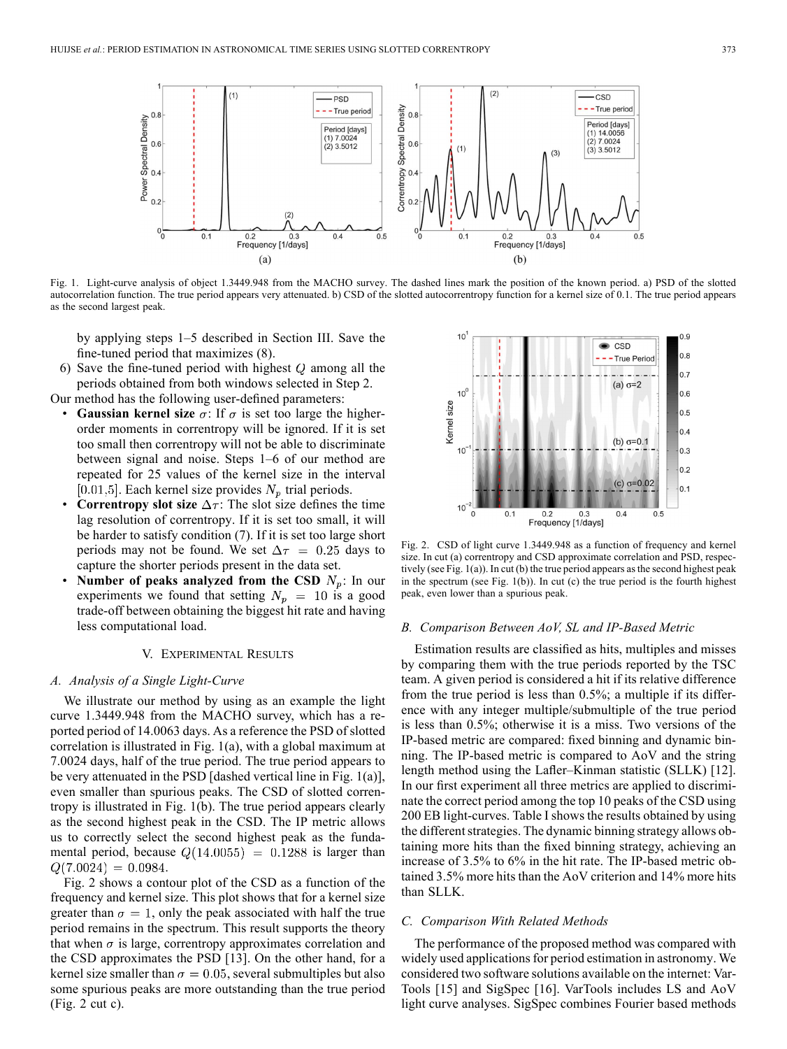

Fig. 1. Light-curve analysis of object 1.3449.948 from the MACHO survey. The dashed lines mark the position of the known period. a) PSD of the slotted autocorrelation function. The true period appears very attenuated. b) CSD of the slotted autocorrentropy function for a kernel size of 0.1. The true period appears as the second largest peak.

by applying steps 1–5 described in Section III. Save the fine-tuned period that maximizes (8).

6) Save the fine-tuned period with highest  $Q$  among all the periods obtained from both windows selected in Step 2.

Our method has the following user-defined parameters:

- **Gaussian kernel size**  $\sigma$ : If  $\sigma$  is set too large the higherorder moments in correntropy will be ignored. If it is set too small then correntropy will not be able to discriminate between signal and noise. Steps 1–6 of our method are repeated for 25 values of the kernel size in the interval [0.01,5]. Each kernel size provides  $N_p$  trial periods.
- **Correntropy slot size**  $\Delta \tau$ : The slot size defines the time lag resolution of correntropy. If it is set too small, it will be harder to satisfy condition (7). If it is set too large short periods may not be found. We set  $\Delta \tau = 0.25$  days to capture the shorter periods present in the data set.
- **Number of peaks analyzed from the CSD**  $N_p$ : In our experiments we found that setting  $N_p = 10$  is a good trade-off between obtaining the biggest hit rate and having less computational load.

# V. EXPERIMENTAL RESULTS

#### *A. Analysis of a Single Light-Curve*

We illustrate our method by using as an example the light curve 1.3449.948 from the MACHO survey, which has a reported period of 14.0063 days. As a reference the PSD of slotted correlation is illustrated in Fig. 1(a), with a global maximum at 7.0024 days, half of the true period. The true period appears to be very attenuated in the PSD [dashed vertical line in Fig. 1(a)], even smaller than spurious peaks. The CSD of slotted correntropy is illustrated in Fig. 1(b). The true period appears clearly as the second highest peak in the CSD. The IP metric allows us to correctly select the second highest peak as the fundamental period, because  $Q(14.0055) = 0.1288$  is larger than  $Q(7.0024) = 0.0984.$ 

Fig. 2 shows a contour plot of the CSD as a function of the frequency and kernel size. This plot shows that for a kernel size greater than  $\sigma = 1$ , only the peak associated with half the true period remains in the spectrum. This result supports the theory that when  $\sigma$  is large, correntropy approximates correlation and the CSD approximates the PSD [13]. On the other hand, for a kernel size smaller than  $\sigma = 0.05$ , several submultiples but also some spurious peaks are more outstanding than the true period (Fig. 2 cut c).



Fig. 2. CSD of light curve 1.3449.948 as a function of frequency and kernel size. In cut (a) correntropy and CSD approximate correlation and PSD, respectively (see Fig. 1(a)). In cut (b) the true period appears as the second highest peak in the spectrum (see Fig.  $1(b)$ ). In cut (c) the true period is the fourth highest peak, even lower than a spurious peak.

#### *B. Comparison Between AoV, SL and IP-Based Metric*

Estimation results are classified as hits, multiples and misses by comparing them with the true periods reported by the TSC team. A given period is considered a hit if its relative difference from the true period is less than 0.5%; a multiple if its difference with any integer multiple/submultiple of the true period is less than 0.5%; otherwise it is a miss. Two versions of the IP-based metric are compared: fixed binning and dynamic binning. The IP-based metric is compared to AoV and the string length method using the Lafler–Kinman statistic (SLLK) [12]. In our first experiment all three metrics are applied to discriminate the correct period among the top 10 peaks of the CSD using 200 EB light-curves. Table I shows the results obtained by using the different strategies. The dynamic binning strategy allows obtaining more hits than the fixed binning strategy, achieving an increase of 3.5% to 6% in the hit rate. The IP-based metric obtained 3.5% more hits than the AoV criterion and 14% more hits than SLLK.

## *C. Comparison With Related Methods*

The performance of the proposed method was compared with widely used applications for period estimation in astronomy. We considered two software solutions available on the internet: Var-Tools [15] and SigSpec [16]. VarTools includes LS and AoV light curve analyses. SigSpec combines Fourier based methods